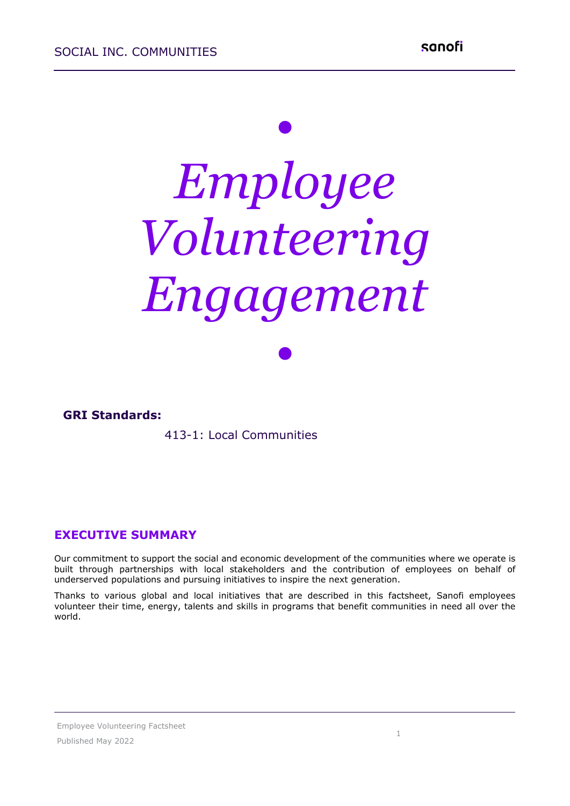# *• Employee Volunteering Engagement*

*•*

#### **GRI Standards:**

#### 413-1: Local Communities

#### **EXECUTIVE SUMMARY**

Our commitment to support the social and economic development of the communities where we operate is built through partnerships with local stakeholders and the contribution of employees on behalf of underserved populations and pursuing initiatives to inspire the next generation.

Thanks to various global and local initiatives that are described in this factsheet, Sanofi employees volunteer their time, energy, talents and skills in programs that benefit communities in need all over the world.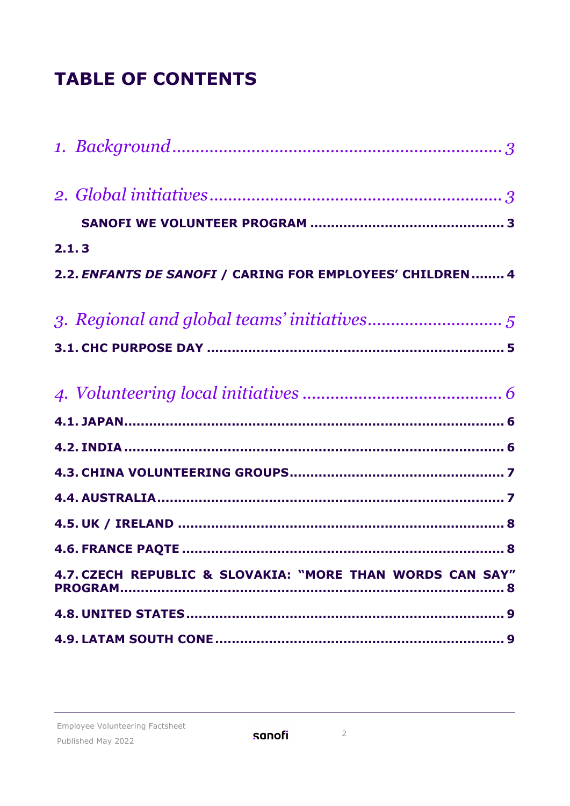# **TABLE OF CONTENTS**

| 2.1.3                                                     |
|-----------------------------------------------------------|
| 2.2. ENFANTS DE SANOFI / CARING FOR EMPLOYEES' CHILDREN 4 |
|                                                           |
|                                                           |
|                                                           |
|                                                           |
|                                                           |
|                                                           |
|                                                           |
|                                                           |
|                                                           |
| 4.7. CZECH REPUBLIC & SLOVAKIA: "MORE THAN WORDS CAN SAY" |
|                                                           |
|                                                           |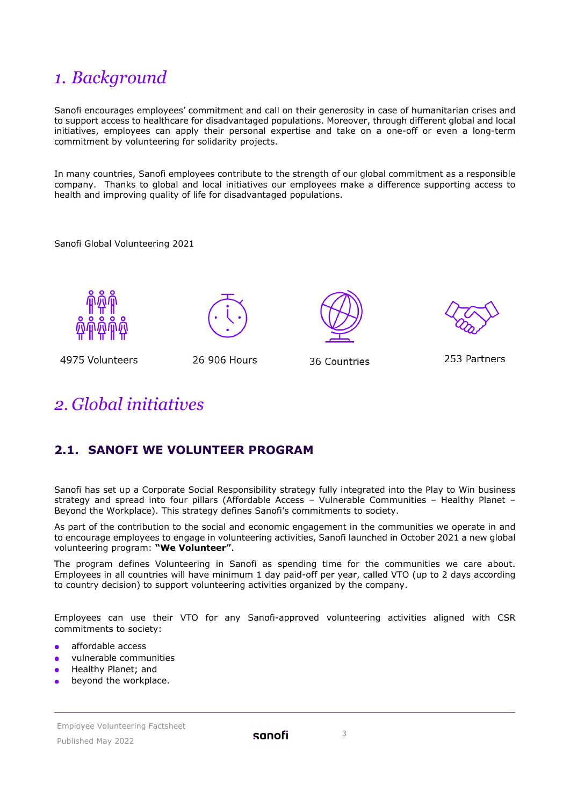# <span id="page-2-0"></span>*1. Background*

Sanofi encourages employees' commitment and call on their generosity in case of humanitarian crises and to support access to healthcare for disadvantaged populations. Moreover, through different global and local initiatives, employees can apply their personal expertise and take on a one-off or even a long-term commitment by volunteering for solidarity projects.

In many countries, Sanofi employees contribute to the strength of our global commitment as a responsible company. Thanks to global and local initiatives our employees make a difference supporting access to health and improving quality of life for disadvantaged populations.

Sanofi Global Volunteering 2021







36 Countries

253 Partners

4975 Volunteers

<span id="page-2-3"></span>26 906 Hours

## <span id="page-2-1"></span>*2. Global initiatives*

## <span id="page-2-2"></span>**2.1. SANOFI WE VOLUNTEER PROGRAM**

Sanofi has set up a Corporate Social Responsibility strategy fully integrated into the Play to Win business strategy and spread into four pillars (Affordable Access – Vulnerable Communities – Healthy Planet – Beyond the Workplace). This strategy defines Sanofi's commitments to society.

As part of the contribution to the social and economic engagement in the communities we operate in and to encourage employees to engage in volunteering activities, Sanofi launched in October 2021 a new global volunteering program: **"We Volunteer"**.

The program defines Volunteering in Sanofi as spending time for the communities we care about. Employees in all countries will have minimum 1 day paid-off per year, called VTO (up to 2 days according to country decision) to support volunteering activities organized by the company.

Employees can use their VTO for any Sanofi-approved volunteering activities aligned with CSR commitments to society:

- affordable access
- vulnerable communities
- Healthy Planet; and
- beyond the workplace.

Employee Volunteering Factsheet Published May 2022

sanofi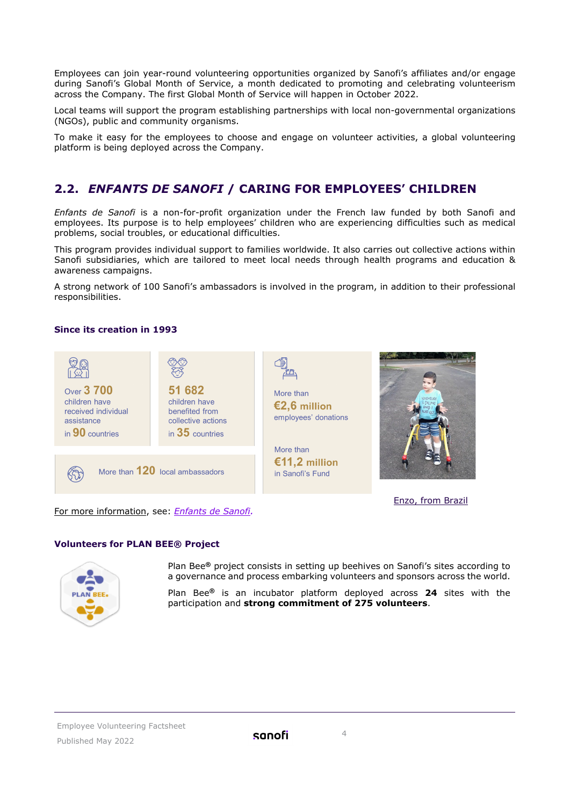Employees can join year-round volunteering opportunities organized by Sanofi's affiliates and/or engage during Sanofi's Global Month of Service, a month dedicated to promoting and celebrating volunteerism across the Company. The first Global Month of Service will happen in October 2022.

Local teams will support the program establishing partnerships with local non-governmental organizations (NGOs), public and community organisms.

To make it easy for the employees to choose and engage on volunteer activities, a global volunteering platform is being deployed across the Company.

#### <span id="page-3-0"></span>**2.2.** *ENFANTS DE SANOFI* **/ CARING FOR EMPLOYEES' CHILDREN**

*Enfants de Sanofi* is a non-for-profit organization under the French law funded by both Sanofi and employees. Its purpose is to help employees' children who are experiencing difficulties such as medical problems, social troubles, or educational difficulties.

This program provides individual support to families worldwide. It also carries out collective actions within Sanofi subsidiaries, which are tailored to meet local needs through health programs and education & awareness campaigns.

A strong network of 100 Sanofi's ambassadors is involved in the program, in addition to their professional responsibilities.

#### **Since its creation in 1993**



#### **Volunteers for PLAN BEE® Project**



Plan Bee**®** project consists in setting up beehives on Sanofi's sites according to a governance and process embarking volunteers and sponsors across the world.

Plan Bee**®** is an incubator platform deployed across **24** sites with the participation and **strong commitment of 275 volunteers**.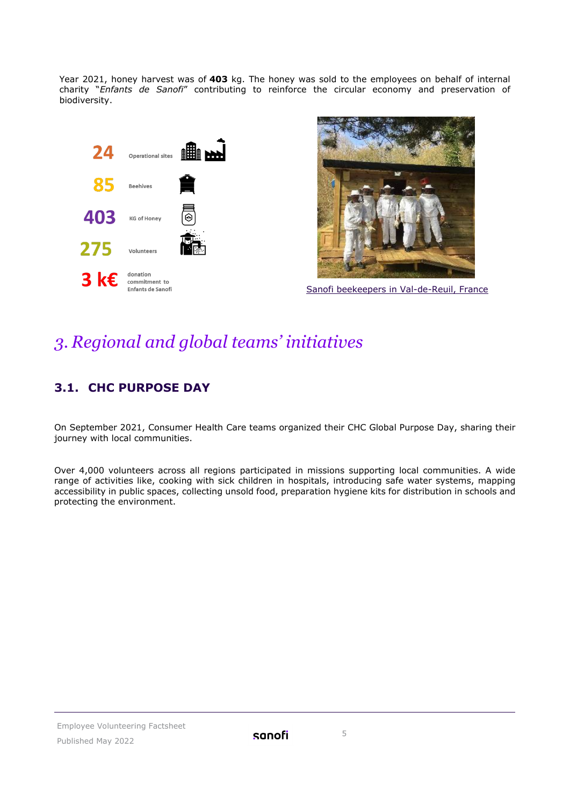Year 2021, honey harvest was of **403** kg. The honey was sold to the employees on behalf of internal charity "*Enfants de Sanofi*" contributing to reinforce the circular economy and preservation of biodiversity.





Sanofi beekeepers in Val-de-Reuil, France

# <span id="page-4-0"></span>*3. Regional and global teams' initiatives*

## <span id="page-4-1"></span>**3.1. CHC PURPOSE DAY**

On September 2021, Consumer Health Care teams organized their CHC Global Purpose Day, sharing their journey with local communities.

Over 4,000 volunteers across all regions participated in missions supporting local communities. A wide range of activities like, cooking with sick children in hospitals, introducing safe water systems, mapping accessibility in public spaces, collecting unsold food, preparation hygiene kits for distribution in schools and protecting the environment.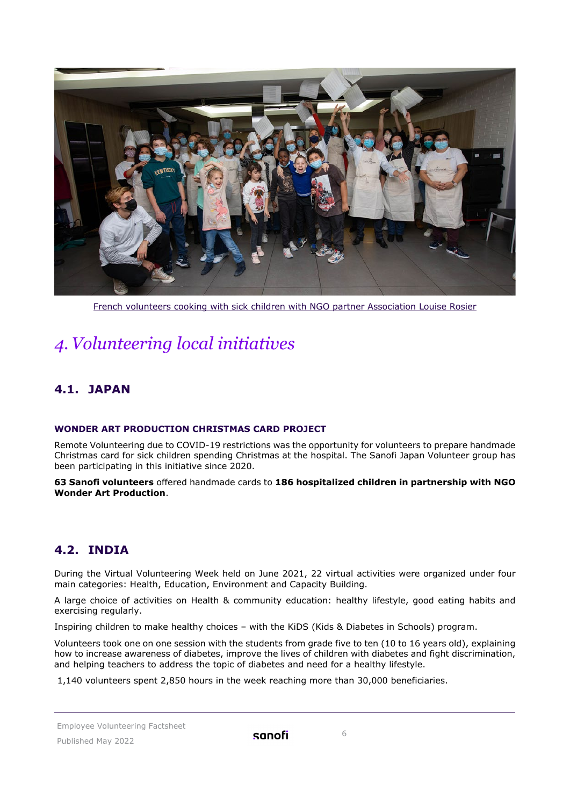

French volunteers cooking with sick children with NGO partner Association Louise Rosier

# <span id="page-5-0"></span>*4.Volunteering local initiatives*

## <span id="page-5-1"></span>**4.1. JAPAN**

#### **WONDER ART PRODUCTION CHRISTMAS CARD PROJECT**

Remote Volunteering due to COVID-19 restrictions was the opportunity for volunteers to prepare handmade Christmas card for sick children spending Christmas at the hospital. The Sanofi Japan Volunteer group has been participating in this initiative since 2020.

**63 Sanofi volunteers** offered handmade cards to **186 hospitalized children in partnership with NGO Wonder Art Production**.

#### <span id="page-5-2"></span>**4.2. INDIA**

During the Virtual Volunteering Week held on June 2021, 22 virtual activities were organized under four main categories: Health, Education, Environment and Capacity Building.

A large choice of activities on Health & community education: healthy lifestyle, good eating habits and exercising regularly.

Inspiring children to make healthy choices – with the KiDS (Kids & Diabetes in Schools) program.

Volunteers took one on one session with the students from grade five to ten (10 to 16 years old), explaining how to increase awareness of diabetes, improve the lives of children with diabetes and fight discrimination, and helping teachers to address the topic of diabetes and need for a healthy lifestyle.

1,140 volunteers spent 2,850 hours in the week reaching more than 30,000 beneficiaries.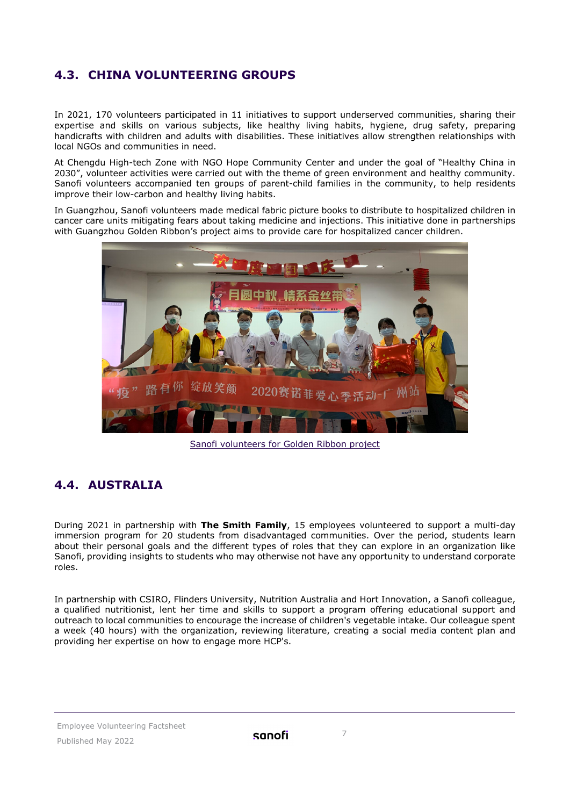## <span id="page-6-0"></span>**4.3. CHINA VOLUNTEERING GROUPS**

In 2021, 170 volunteers participated in 11 initiatives to support underserved communities, sharing their expertise and skills on various subjects, like healthy living habits, hygiene, drug safety, preparing handicrafts with children and adults with disabilities. These initiatives allow strengthen relationships with local NGOs and communities in need.

At Chengdu High-tech Zone with NGO Hope Community Center and under the goal of "Healthy China in 2030", volunteer activities were carried out with the theme of green environment and healthy community. Sanofi volunteers accompanied ten groups of parent-child families in the community, to help residents improve their low-carbon and healthy living habits.

In Guangzhou, Sanofi volunteers made medical fabric picture books to distribute to hospitalized children in cancer care units mitigating fears about taking medicine and injections. This initiative done in partnerships with Guangzhou Golden Ribbon's project aims to provide care for hospitalized cancer children.



Sanofi volunteers for Golden Ribbon project

## <span id="page-6-1"></span>**4.4. AUSTRALIA**

During 2021 in partnership with **The Smith Family**, 15 employees volunteered to support a multi-day immersion program for 20 students from disadvantaged communities. Over the period, students learn about their personal goals and the different types of roles that they can explore in an organization like Sanofi, providing insights to students who may otherwise not have any opportunity to understand corporate roles.

In partnership with CSIRO, Flinders University, Nutrition Australia and Hort Innovation, a Sanofi colleague, a qualified nutritionist, lent her time and skills to support a program offering educational support and outreach to local communities to encourage the increase of children's vegetable intake. Our colleague spent a week (40 hours) with the organization, reviewing literature, creating a social media content plan and providing her expertise on how to engage more HCP's.

Employee Volunteering Factsheet Published May 2022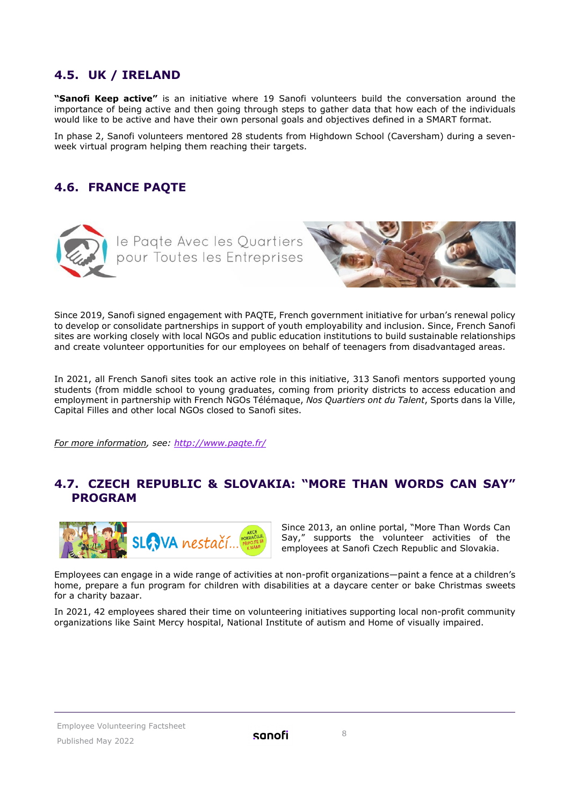#### <span id="page-7-0"></span>**4.5. UK / IRELAND**

**"Sanofi Keep active"** is an initiative where 19 Sanofi volunteers build the conversation around the importance of being active and then going through steps to gather data that how each of the individuals would like to be active and have their own personal goals and objectives defined in a SMART format.

In phase 2, Sanofi volunteers mentored 28 students from Highdown School (Caversham) during a sevenweek virtual program helping them reaching their targets.

## <span id="page-7-1"></span>**4.6. FRANCE PAQTE**



Since 2019, Sanofi signed engagement with PAQTE, French government initiative for urban's renewal policy to develop or consolidate partnerships in support of youth employability and inclusion. Since, French Sanofi sites are working closely with local NGOs and public education institutions to build sustainable relationships and create volunteer opportunities for our employees on behalf of teenagers from disadvantaged areas.

In 2021, all French Sanofi sites took an active role in this initiative, 313 Sanofi mentors supported young students (from middle school to young graduates, coming from priority districts to access education and employment in partnership with French NGOs Télémaque, *Nos Quartiers ont du Talent*, Sports dans la Ville, Capital Filles and other local NGOs closed to Sanofi sites.

<span id="page-7-2"></span>*For more information, see: <http://www.paqte.fr/>*

#### **4.7. CZECH REPUBLIC & SLOVAKIA: "MORE THAN WORDS CAN SAY" PROGRAM**



Since 2013, an online portal, "More Than Words Can Say," supports the volunteer activities of the employees at Sanofi Czech Republic and Slovakia.

Employees can engage in a wide range of activities at non-profit organizations—paint a fence at a children's home, prepare a fun program for children with disabilities at a daycare center or bake Christmas sweets for a charity bazaar.

In 2021, 42 employees shared their time on volunteering initiatives supporting local non-profit community organizations like Saint Mercy hospital, National Institute of autism and Home of visually impaired.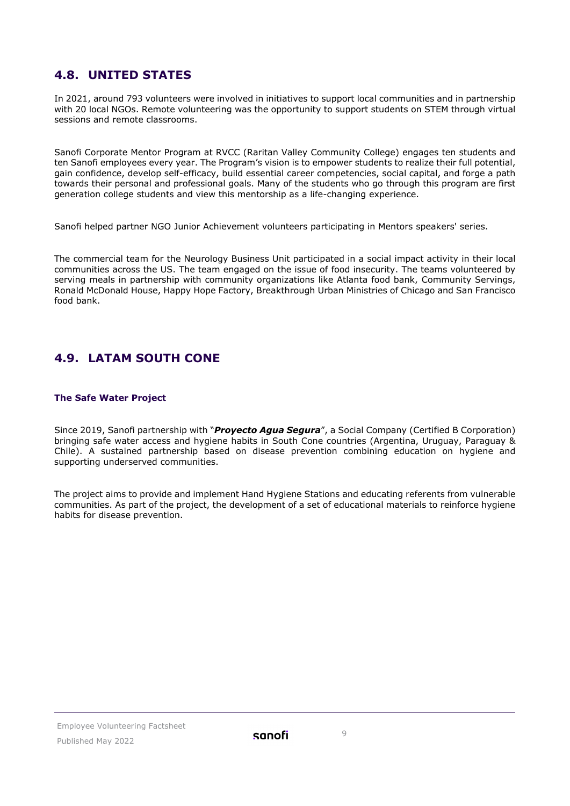#### <span id="page-8-0"></span>**4.8. UNITED STATES**

In 2021, around 793 volunteers were involved in initiatives to support local communities and in partnership with 20 local NGOs. Remote volunteering was the opportunity to support students on STEM through virtual sessions and remote classrooms.

Sanofi Corporate Mentor Program at RVCC (Raritan Valley Community College) engages ten students and ten Sanofi employees every year. The Program's vision is to empower students to realize their full potential, gain confidence, develop self-efficacy, build essential career competencies, social capital, and forge a path towards their personal and professional goals. Many of the students who go through this program are first generation college students and view this mentorship as a life-changing experience.

Sanofi helped partner NGO Junior Achievement volunteers participating in Mentors speakers' series.

The commercial team for the Neurology Business Unit participated in a social impact activity in their local communities across the US. The team engaged on the issue of food insecurity. The teams volunteered by serving meals in partnership with community organizations like Atlanta food bank, Community Servings, Ronald McDonald House, Happy Hope Factory, Breakthrough Urban Ministries of Chicago and San Francisco food bank.

## <span id="page-8-1"></span>**4.9. LATAM SOUTH CONE**

#### **The Safe Water Project**

Since 2019, Sanofi partnership with "*Proyecto Agua Segura*", a Social Company (Certified B Corporation) bringing safe water access and hygiene habits in South Cone countries (Argentina, Uruguay, Paraguay & Chile). A sustained partnership based on disease prevention combining education on hygiene and supporting underserved communities.

The project aims to provide and implement Hand Hygiene Stations and educating referents from vulnerable communities. As part of the project, the development of a set of educational materials to reinforce hygiene habits for disease prevention.